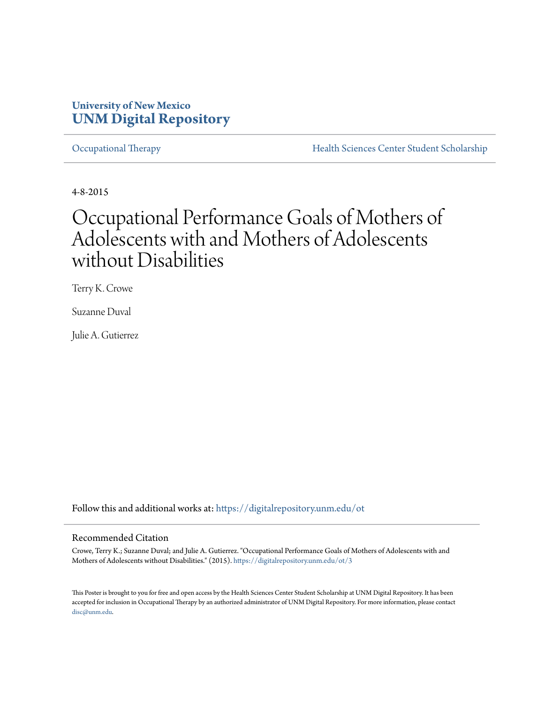### **University of New Mexico [UNM Digital Repository](https://digitalrepository.unm.edu?utm_source=digitalrepository.unm.edu%2Fot%2F3&utm_medium=PDF&utm_campaign=PDFCoverPages)**

[Occupational Therapy](https://digitalrepository.unm.edu/ot?utm_source=digitalrepository.unm.edu%2Fot%2F3&utm_medium=PDF&utm_campaign=PDFCoverPages) **[Health Sciences Center Student Scholarship](https://digitalrepository.unm.edu/hsc-students?utm_source=digitalrepository.unm.edu%2Fot%2F3&utm_medium=PDF&utm_campaign=PDFCoverPages)** 

4-8-2015

### Occupational Performance Goals of Mothers of Adolescents with and Mothers of Adolescents without Disabilities

Terry K. Crowe

Suzanne Duval

Julie A. Gutierrez

Follow this and additional works at: [https://digitalrepository.unm.edu/ot](https://digitalrepository.unm.edu/ot?utm_source=digitalrepository.unm.edu%2Fot%2F3&utm_medium=PDF&utm_campaign=PDFCoverPages)

### Recommended Citation

Crowe, Terry K.; Suzanne Duval; and Julie A. Gutierrez. "Occupational Performance Goals of Mothers of Adolescents with and Mothers of Adolescents without Disabilities." (2015). [https://digitalrepository.unm.edu/ot/3](https://digitalrepository.unm.edu/ot/3?utm_source=digitalrepository.unm.edu%2Fot%2F3&utm_medium=PDF&utm_campaign=PDFCoverPages)

This Poster is brought to you for free and open access by the Health Sciences Center Student Scholarship at UNM Digital Repository. It has been accepted for inclusion in Occupational Therapy by an authorized administrator of UNM Digital Repository. For more information, please contact [disc@unm.edu](mailto:disc@unm.edu).